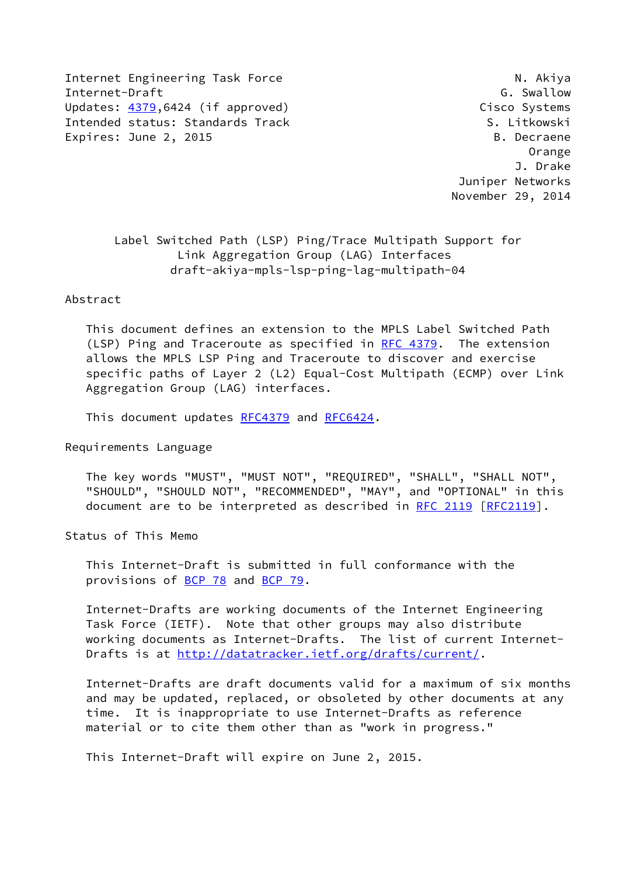Internet Engineering Task Force N. Akiya Internet-Draft G. Swallow Updates: [4379](https://datatracker.ietf.org/doc/pdf/rfc4379),6424 (if approved) Cisco Systems Intended status: Standards Track S. Litkowski Expires: June 2, 2015 B. Decraene

 Orange J. Drake Juniper Networks November 29, 2014

 Label Switched Path (LSP) Ping/Trace Multipath Support for Link Aggregation Group (LAG) Interfaces draft-akiya-mpls-lsp-ping-lag-multipath-04

### Abstract

 This document defines an extension to the MPLS Label Switched Path (LSP) Ping and Traceroute as specified in [RFC 4379](https://datatracker.ietf.org/doc/pdf/rfc4379). The extension allows the MPLS LSP Ping and Traceroute to discover and exercise specific paths of Layer 2 (L2) Equal-Cost Multipath (ECMP) over Link Aggregation Group (LAG) interfaces.

This document updates [RFC4379](https://datatracker.ietf.org/doc/pdf/rfc4379) and [RFC6424](https://datatracker.ietf.org/doc/pdf/rfc6424).

Requirements Language

 The key words "MUST", "MUST NOT", "REQUIRED", "SHALL", "SHALL NOT", "SHOULD", "SHOULD NOT", "RECOMMENDED", "MAY", and "OPTIONAL" in this document are to be interpreted as described in [RFC 2119 \[RFC2119](https://datatracker.ietf.org/doc/pdf/rfc2119)].

Status of This Memo

 This Internet-Draft is submitted in full conformance with the provisions of [BCP 78](https://datatracker.ietf.org/doc/pdf/bcp78) and [BCP 79](https://datatracker.ietf.org/doc/pdf/bcp79).

 Internet-Drafts are working documents of the Internet Engineering Task Force (IETF). Note that other groups may also distribute working documents as Internet-Drafts. The list of current Internet Drafts is at<http://datatracker.ietf.org/drafts/current/>.

 Internet-Drafts are draft documents valid for a maximum of six months and may be updated, replaced, or obsoleted by other documents at any time. It is inappropriate to use Internet-Drafts as reference material or to cite them other than as "work in progress."

This Internet-Draft will expire on June 2, 2015.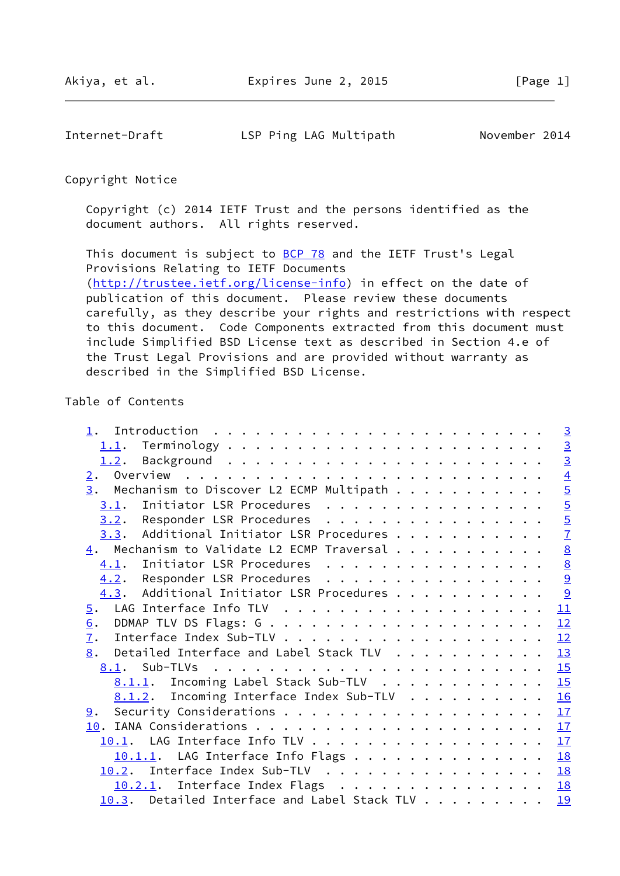Internet-Draft LSP Ping LAG Multipath November 2014

Copyright Notice

 Copyright (c) 2014 IETF Trust and the persons identified as the document authors. All rights reserved.

This document is subject to **[BCP 78](https://datatracker.ietf.org/doc/pdf/bcp78)** and the IETF Trust's Legal Provisions Relating to IETF Documents [\(http://trustee.ietf.org/license-info](http://trustee.ietf.org/license-info)) in effect on the date of publication of this document. Please review these documents carefully, as they describe your rights and restrictions with respect to this document. Code Components extracted from this document must include Simplified BSD License text as described in Section 4.e of the Trust Legal Provisions and are provided without warranty as described in the Simplified BSD License.

# Table of Contents

|                                                           | $\overline{3}$  |
|-----------------------------------------------------------|-----------------|
| 1.1.                                                      |                 |
| 1.2.                                                      | $\frac{3}{3}$   |
| 2.                                                        | $\overline{4}$  |
| Mechanism to Discover L2 ECMP Multipath<br>3.             | $\overline{5}$  |
| Initiator LSR Procedures<br>3.1.                          | $\overline{5}$  |
| 3.2. Responder LSR Procedures                             | $\overline{5}$  |
| 3.3. Additional Initiator LSR Procedures                  | $\overline{1}$  |
| $\underline{4}$ . Mechanism to Validate L2 ECMP Traversal | 8               |
| Initiator LSR Procedures<br>4.1.                          | $\underline{8}$ |
| 4.2. Responder LSR Procedures                             | 9               |
| 4.3. Additional Initiator LSR Procedures                  | 9               |
| $\overline{5}$ .                                          | 11              |
| 6.                                                        | 12              |
| $\overline{1}$ .                                          | 12              |
| Detailed Interface and Label Stack TLV<br>8.              | 13              |
|                                                           | 15              |
| 8.1.1. Incoming Label Stack Sub-TLV                       | 15              |
| 8.1.2. Incoming Interface Index Sub-TLV                   | 16              |
| 9.                                                        | 17              |
|                                                           | 17              |
| 10.1. LAG Interface Info TLV                              | 17              |
| $10.1.1$ . LAG Interface Info Flags                       | <b>18</b>       |
| Interface Index Sub-TLV<br>10.2.                          | 18              |
| 10.2.1. Interface Index Flags                             | 18              |
| $10.3$ . Detailed Interface and Label Stack TLV           | 19              |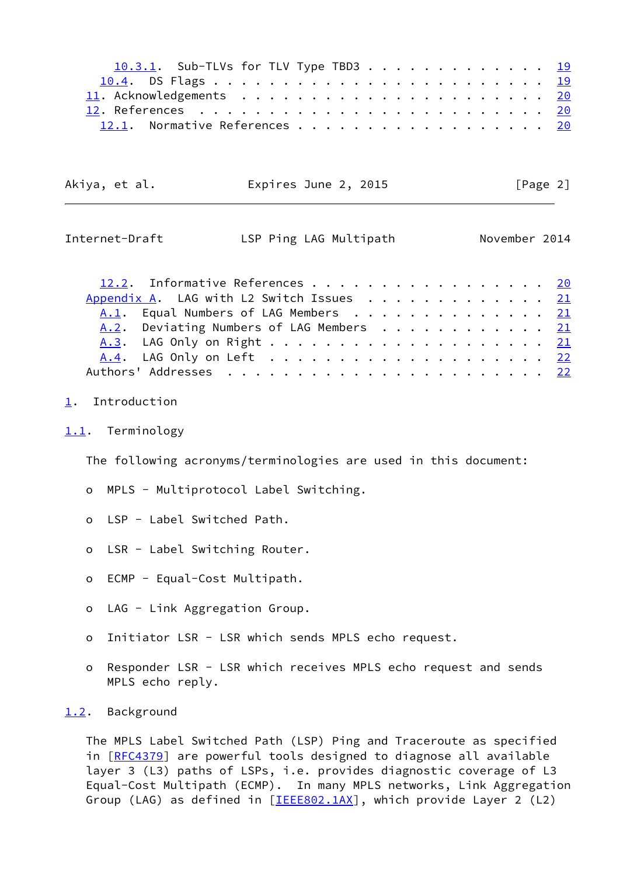| 10.3.1. Sub-TLVs for TLV Type TBD3 19 |  |  |  |  |  |
|---------------------------------------|--|--|--|--|--|
|                                       |  |  |  |  |  |
|                                       |  |  |  |  |  |
|                                       |  |  |  |  |  |
| 12.1. Normative References 20         |  |  |  |  |  |

| Akiya, et al. | Expires June 2, 2015 |  | [Page 2] |
|---------------|----------------------|--|----------|
|---------------|----------------------|--|----------|

<span id="page-2-1"></span>

| Internet-Draft |  |
|----------------|--|
|----------------|--|

LSP Ping LAG Multipath November 2014

| 12.2. Informative References 20                   |  |  |  |  |  |  |
|---------------------------------------------------|--|--|--|--|--|--|
| Appendix A. LAG with L2 Switch Issues $\cdots$ 21 |  |  |  |  |  |  |
| A.1. Equal Numbers of LAG Members 21              |  |  |  |  |  |  |
| A.2. Deviating Numbers of LAG Members 21          |  |  |  |  |  |  |
|                                                   |  |  |  |  |  |  |
|                                                   |  |  |  |  |  |  |
|                                                   |  |  |  |  |  |  |

# <span id="page-2-0"></span>[1](#page-2-0). Introduction

<span id="page-2-2"></span>[1.1](#page-2-2). Terminology

The following acronyms/terminologies are used in this document:

- o MPLS Multiprotocol Label Switching.
- o LSP Label Switched Path.
- o LSR Label Switching Router.
- o ECMP Equal-Cost Multipath.
- o LAG Link Aggregation Group.
- o Initiator LSR LSR which sends MPLS echo request.
- o Responder LSR LSR which receives MPLS echo request and sends MPLS echo reply.

### <span id="page-2-3"></span>[1.2](#page-2-3). Background

 The MPLS Label Switched Path (LSP) Ping and Traceroute as specified in [[RFC4379\]](https://datatracker.ietf.org/doc/pdf/rfc4379) are powerful tools designed to diagnose all available layer 3 (L3) paths of LSPs, i.e. provides diagnostic coverage of L3 Equal-Cost Multipath (ECMP). In many MPLS networks, Link Aggregation Group (LAG) as defined in [[IEEE802.1AX](#page-22-4)], which provide Layer 2 (L2)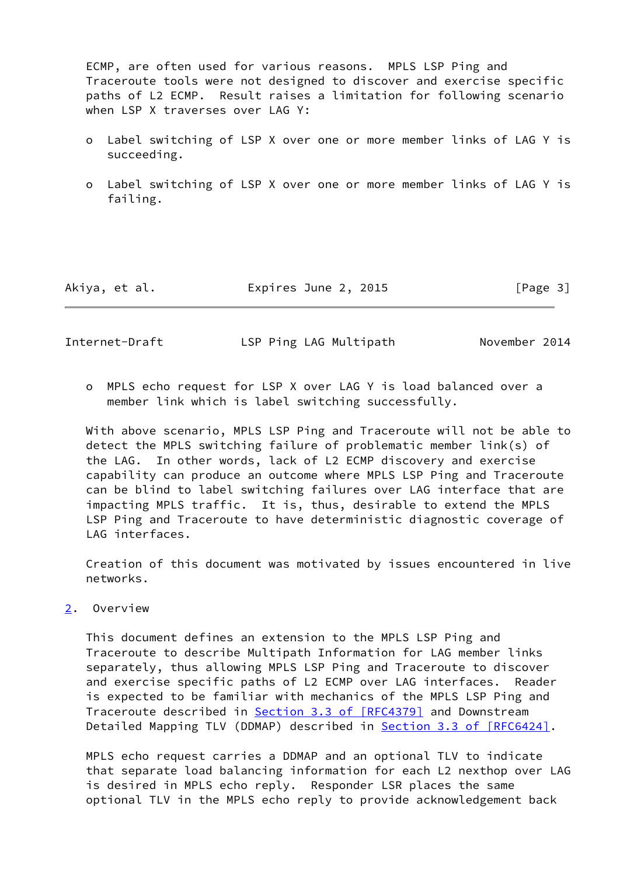ECMP, are often used for various reasons. MPLS LSP Ping and Traceroute tools were not designed to discover and exercise specific paths of L2 ECMP. Result raises a limitation for following scenario when LSP X traverses over LAG Y:

- o Label switching of LSP X over one or more member links of LAG Y is succeeding.
- o Label switching of LSP X over one or more member links of LAG Y is failing.

| Akiya, et al. | Expires June 2, 2015 | [Page 3] |
|---------------|----------------------|----------|
|---------------|----------------------|----------|

<span id="page-3-1"></span>Internet-Draft LSP Ping LAG Multipath November 2014

 o MPLS echo request for LSP X over LAG Y is load balanced over a member link which is label switching successfully.

 With above scenario, MPLS LSP Ping and Traceroute will not be able to detect the MPLS switching failure of problematic member link(s) of the LAG. In other words, lack of L2 ECMP discovery and exercise capability can produce an outcome where MPLS LSP Ping and Traceroute can be blind to label switching failures over LAG interface that are impacting MPLS traffic. It is, thus, desirable to extend the MPLS LSP Ping and Traceroute to have deterministic diagnostic coverage of LAG interfaces.

 Creation of this document was motivated by issues encountered in live networks.

<span id="page-3-0"></span>[2](#page-3-0). Overview

 This document defines an extension to the MPLS LSP Ping and Traceroute to describe Multipath Information for LAG member links separately, thus allowing MPLS LSP Ping and Traceroute to discover and exercise specific paths of L2 ECMP over LAG interfaces. Reader is expected to be familiar with mechanics of the MPLS LSP Ping and Traceroute described in Section [3.3 of \[RFC4379\]](https://datatracker.ietf.org/doc/pdf/rfc4379#section-3.3) and Downstream Detailed Mapping TLV (DDMAP) described in Section [3.3 of \[RFC6424\]](https://datatracker.ietf.org/doc/pdf/rfc6424#section-3.3).

 MPLS echo request carries a DDMAP and an optional TLV to indicate that separate load balancing information for each L2 nexthop over LAG is desired in MPLS echo reply. Responder LSR places the same optional TLV in the MPLS echo reply to provide acknowledgement back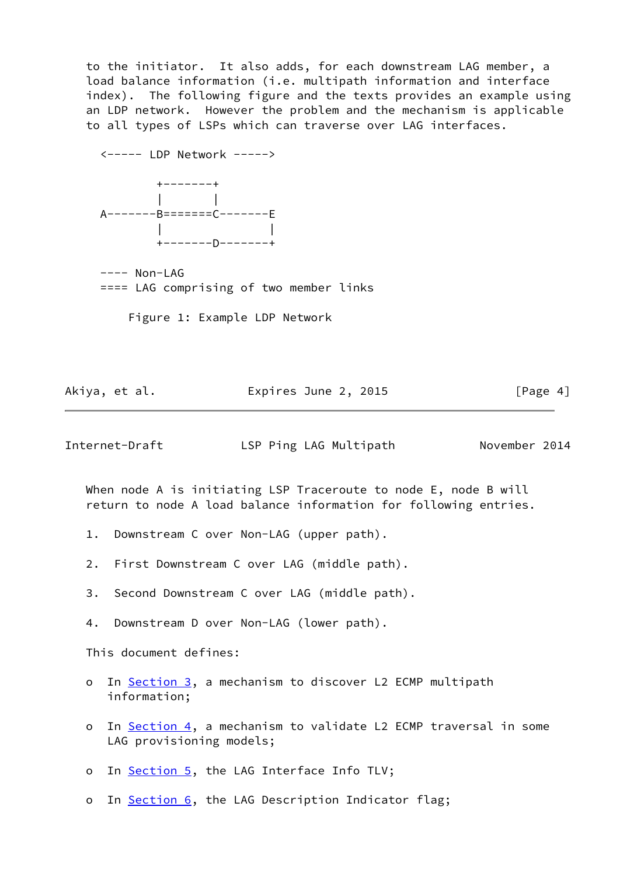to the initiator. It also adds, for each downstream LAG member, a load balance information (i.e. multipath information and interface index). The following figure and the texts provides an example using an LDP network. However the problem and the mechanism is applicable to all types of LSPs which can traverse over LAG interfaces.

 <----- LDP Network -----> +-------+ | | A-------B=======C-------E | | +-------D-------+ ---- Non-LAG

==== LAG comprising of two member links

Figure 1: Example LDP Network

Akiya, et al. **Expires June 2, 2015** [Page 4]

<span id="page-4-0"></span>Internet-Draft LSP Ping LAG Multipath November 2014

 When node A is initiating LSP Traceroute to node E, node B will return to node A load balance information for following entries.

- 1. Downstream C over Non-LAG (upper path).
- 2. First Downstream C over LAG (middle path).
- 3. Second Downstream C over LAG (middle path).
- 4. Downstream D over Non-LAG (lower path).

This document defines:

- o In [Section 3,](#page-5-0) a mechanism to discover L2 ECMP multipath information;
- o In [Section 4,](#page-8-0) a mechanism to validate L2 ECMP traversal in some LAG provisioning models;
- o In [Section 5,](#page-11-0) the LAG Interface Info TLV;
- o In [Section 6,](#page-12-0) the LAG Description Indicator flag;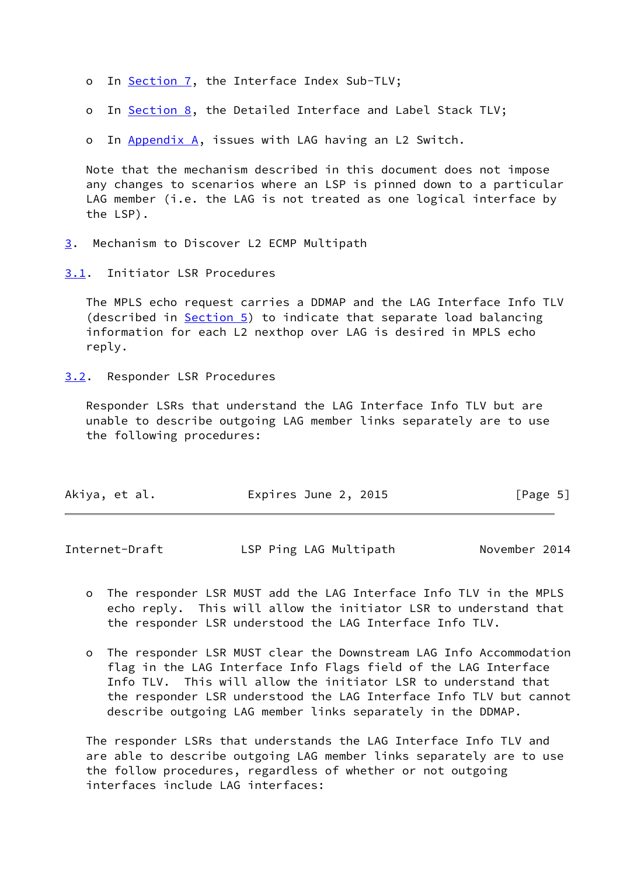- o In [Section 7,](#page-13-0) the Interface Index Sub-TLV;
- o In [Section 8,](#page-14-0) the Detailed Interface and Label Stack TLV;

o In [Appendix A,](#page-22-1) issues with LAG having an L2 Switch.

 Note that the mechanism described in this document does not impose any changes to scenarios where an LSP is pinned down to a particular LAG member (i.e. the LAG is not treated as one logical interface by the LSP).

- <span id="page-5-0"></span>[3](#page-5-0). Mechanism to Discover L2 ECMP Multipath
- <span id="page-5-1"></span>[3.1](#page-5-1). Initiator LSR Procedures

 The MPLS echo request carries a DDMAP and the LAG Interface Info TLV (described in [Section 5\)](#page-11-0) to indicate that separate load balancing information for each L2 nexthop over LAG is desired in MPLS echo reply.

<span id="page-5-2"></span>[3.2](#page-5-2). Responder LSR Procedures

 Responder LSRs that understand the LAG Interface Info TLV but are unable to describe outgoing LAG member links separately are to use the following procedures:

| Akiya, et al.<br>Expires June 2, 2015 | [Page 5] |
|---------------------------------------|----------|
|---------------------------------------|----------|

| Internet-Draft | LSP Ping LAG Multipath | November 2014 |
|----------------|------------------------|---------------|
|                |                        |               |

- o The responder LSR MUST add the LAG Interface Info TLV in the MPLS echo reply. This will allow the initiator LSR to understand that the responder LSR understood the LAG Interface Info TLV.
- o The responder LSR MUST clear the Downstream LAG Info Accommodation flag in the LAG Interface Info Flags field of the LAG Interface Info TLV. This will allow the initiator LSR to understand that the responder LSR understood the LAG Interface Info TLV but cannot describe outgoing LAG member links separately in the DDMAP.

 The responder LSRs that understands the LAG Interface Info TLV and are able to describe outgoing LAG member links separately are to use the follow procedures, regardless of whether or not outgoing interfaces include LAG interfaces: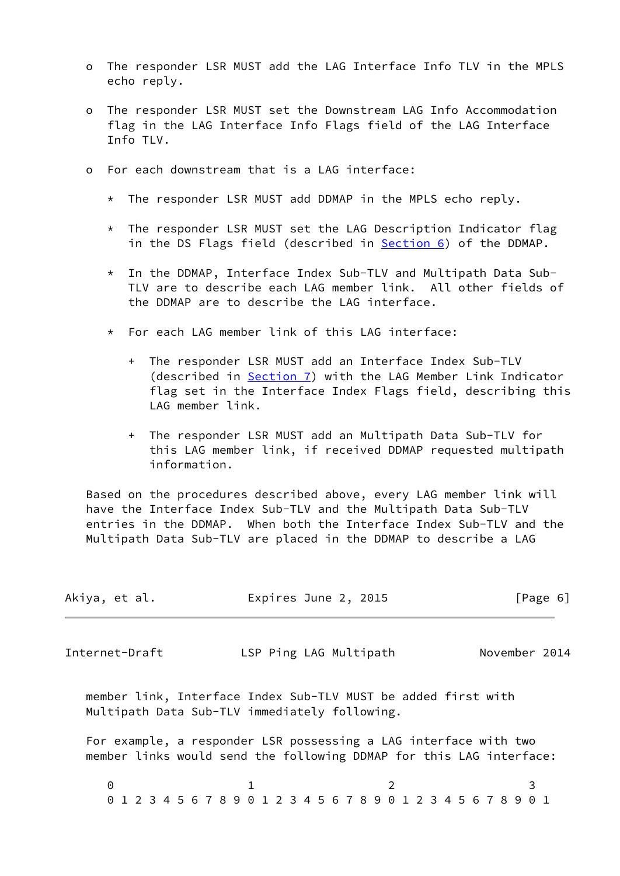- o The responder LSR MUST add the LAG Interface Info TLV in the MPLS echo reply.
- o The responder LSR MUST set the Downstream LAG Info Accommodation flag in the LAG Interface Info Flags field of the LAG Interface Info TLV.
- o For each downstream that is a LAG interface:
	- \* The responder LSR MUST add DDMAP in the MPLS echo reply.
	- \* The responder LSR MUST set the LAG Description Indicator flag in the DS Flags field (described in **Section 6)** of the DDMAP.
	- \* In the DDMAP, Interface Index Sub-TLV and Multipath Data Sub- TLV are to describe each LAG member link. All other fields of the DDMAP are to describe the LAG interface.
	- \* For each LAG member link of this LAG interface:
		- + The responder LSR MUST add an Interface Index Sub-TLV (described in [Section 7\)](#page-13-0) with the LAG Member Link Indicator flag set in the Interface Index Flags field, describing this LAG member link.
		- + The responder LSR MUST add an Multipath Data Sub-TLV for this LAG member link, if received DDMAP requested multipath information.

 Based on the procedures described above, every LAG member link will have the Interface Index Sub-TLV and the Multipath Data Sub-TLV entries in the DDMAP. When both the Interface Index Sub-TLV and the Multipath Data Sub-TLV are placed in the DDMAP to describe a LAG

<span id="page-6-0"></span>

| Akiya, et al.  | Expires June 2, 2015                                                                                                                    | [Page 6]      |
|----------------|-----------------------------------------------------------------------------------------------------------------------------------------|---------------|
| Internet-Draft | LSP Ping LAG Multipath                                                                                                                  | November 2014 |
|                | member link, Interface Index Sub-TLV MUST be added first with<br>Multipath Data Sub-TLV immediately following.                          |               |
|                | For example, a responder LSR possessing a LAG interface with two<br>member links would send the following DDMAP for this LAG interface: |               |
| 0              | 0 1 2 3 4 5 6 7 8 9 0 1 2 3 4 5 6 7 8 9 0 1 2 3 4 5 6 7 8 9 0 1                                                                         |               |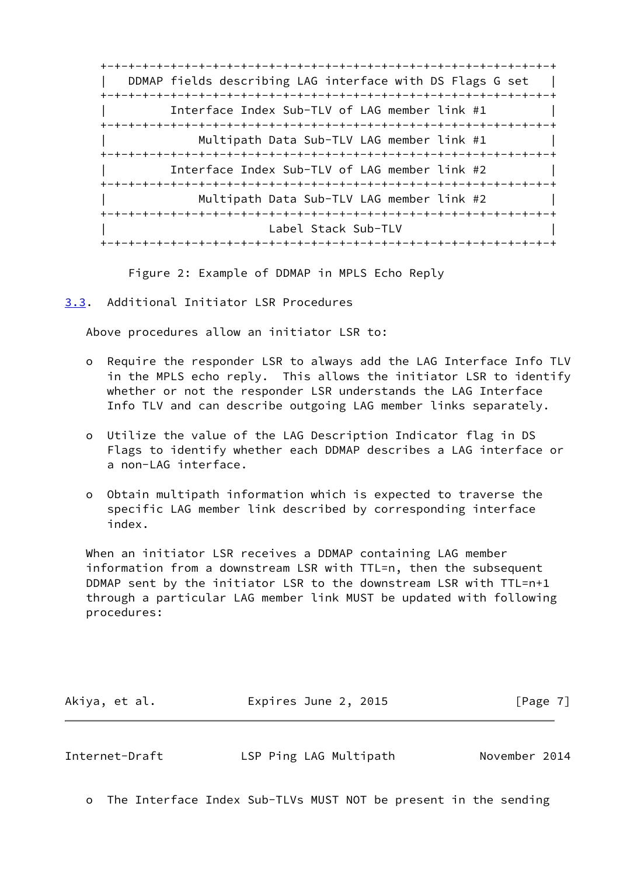+-+-+-+-+-+-+-+-+-+-+-+-+-+-+-+-+-+-+-+-+-+-+-+-+-+-+-+-+-+-+-+-+ DDMAP fields describing LAG interface with DS Flags G set | +-+-+-+-+-+-+-+-+-+-+-+-+-+-+-+-+-+-+-+-+-+-+-+-+-+-+-+-+-+-+-+-+ Interface Index Sub-TLV of LAG member link #1 +-+-+-+-+-+-+-+-+-+-+-+-+-+-+-+-+-+-+-+-+-+-+-+-+-+-+-+-+-+-+-+-+ Multipath Data Sub-TLV LAG member link #1 +-+-+-+-+-+-+-+-+-+-+-+-+-+-+-+-+-+-+-+-+-+-+-+-+-+-+-+-+-+-+-+-+ Interface Index Sub-TLV of LAG member link #2 +-+-+-+-+-+-+-+-+-+-+-+-+-+-+-+-+-+-+-+-+-+-+-+-+-+-+-+-+-+-+-+-+ | Multipath Data Sub-TLV LAG member link #2 | +-+-+-+-+-+-+-+-+-+-+-+-+-+-+-+-+-+-+-+-+-+-+-+-+-+-+-+-+-+-+-+-+ Label Stack Sub-TLV +-+-+-+-+-+-+-+-+-+-+-+-+-+-+-+-+-+-+-+-+-+-+-+-+-+-+-+-+-+-+-+-+

Figure 2: Example of DDMAP in MPLS Echo Reply

<span id="page-7-0"></span>[3.3](#page-7-0). Additional Initiator LSR Procedures

Above procedures allow an initiator LSR to:

- o Require the responder LSR to always add the LAG Interface Info TLV in the MPLS echo reply. This allows the initiator LSR to identify whether or not the responder LSR understands the LAG Interface Info TLV and can describe outgoing LAG member links separately.
- o Utilize the value of the LAG Description Indicator flag in DS Flags to identify whether each DDMAP describes a LAG interface or a non-LAG interface.
- o Obtain multipath information which is expected to traverse the specific LAG member link described by corresponding interface index.

 When an initiator LSR receives a DDMAP containing LAG member information from a downstream LSR with TTL=n, then the subsequent DDMAP sent by the initiator LSR to the downstream LSR with TTL=n+1 through a particular LAG member link MUST be updated with following procedures:

| Akiya, et al.<br>Expires June 2, 2015<br>[Page 7] |  |
|---------------------------------------------------|--|
|---------------------------------------------------|--|

<span id="page-7-1"></span>Internet-Draft LSP Ping LAG Multipath November 2014

o The Interface Index Sub-TLVs MUST NOT be present in the sending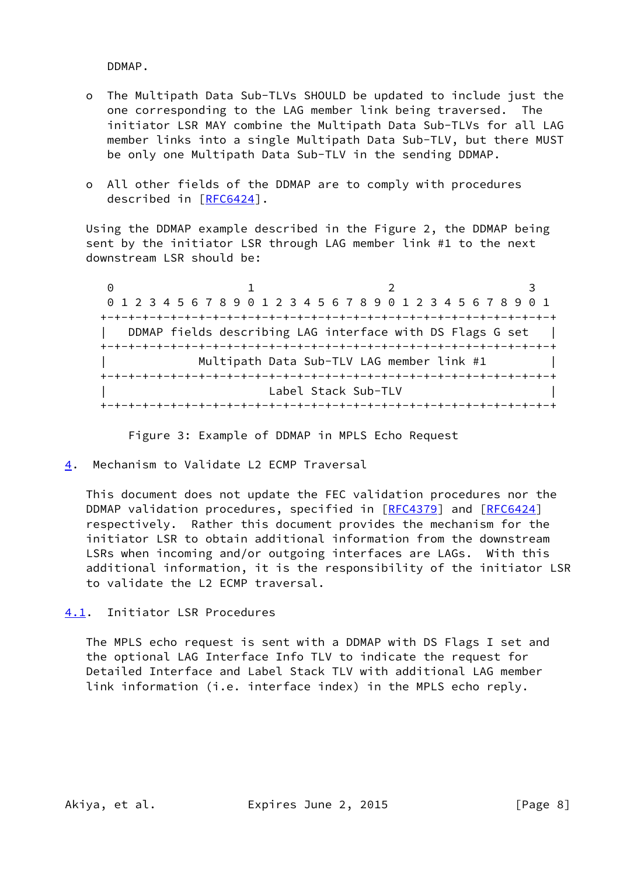DDMAP.

- o The Multipath Data Sub-TLVs SHOULD be updated to include just the one corresponding to the LAG member link being traversed. The initiator LSR MAY combine the Multipath Data Sub-TLVs for all LAG member links into a single Multipath Data Sub-TLV, but there MUST be only one Multipath Data Sub-TLV in the sending DDMAP.
- o All other fields of the DDMAP are to comply with procedures described in [\[RFC6424](https://datatracker.ietf.org/doc/pdf/rfc6424)].

 Using the DDMAP example described in the Figure 2, the DDMAP being sent by the initiator LSR through LAG member link #1 to the next downstream LSR should be:

0 1 2 3 0 1 2 3 4 5 6 7 8 9 0 1 2 3 4 5 6 7 8 9 0 1 2 3 4 5 6 7 8 9 0 1 +-+-+-+-+-+-+-+-+-+-+-+-+-+-+-+-+-+-+-+-+-+-+-+-+-+-+-+-+-+-+-+-+ DDMAP fields describing LAG interface with DS Flags G set | +-+-+-+-+-+-+-+-+-+-+-+-+-+-+-+-+-+-+-+-+-+-+-+-+-+-+-+-+-+-+-+-+ Multipath Data Sub-TLV LAG member link #1 +-+-+-+-+-+-+-+-+-+-+-+-+-+-+-+-+-+-+-+-+-+-+-+-+-+-+-+-+-+-+-+-+ Label Stack Sub-TLV +-+-+-+-+-+-+-+-+-+-+-+-+-+-+-+-+-+-+-+-+-+-+-+-+-+-+-+-+-+-+-+-+

Figure 3: Example of DDMAP in MPLS Echo Request

<span id="page-8-0"></span>[4](#page-8-0). Mechanism to Validate L2 ECMP Traversal

 This document does not update the FEC validation procedures nor the DDMAP validation procedures, specified in [[RFC4379](https://datatracker.ietf.org/doc/pdf/rfc4379)] and [\[RFC6424](https://datatracker.ietf.org/doc/pdf/rfc6424)] respectively. Rather this document provides the mechanism for the initiator LSR to obtain additional information from the downstream LSRs when incoming and/or outgoing interfaces are LAGs. With this additional information, it is the responsibility of the initiator LSR to validate the L2 ECMP traversal.

<span id="page-8-1"></span>[4.1](#page-8-1). Initiator LSR Procedures

 The MPLS echo request is sent with a DDMAP with DS Flags I set and the optional LAG Interface Info TLV to indicate the request for Detailed Interface and Label Stack TLV with additional LAG member link information (i.e. interface index) in the MPLS echo reply.

Akiya, et al. Expires June 2, 2015 [Page 8]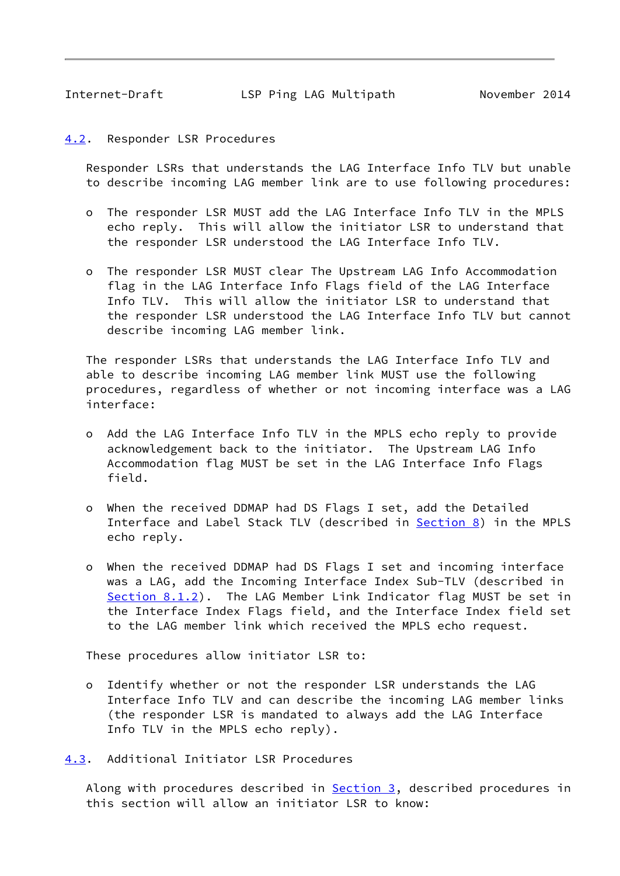<span id="page-9-1"></span>Internet-Draft LSP Ping LAG Multipath November 2014

## <span id="page-9-0"></span>[4.2](#page-9-0). Responder LSR Procedures

 Responder LSRs that understands the LAG Interface Info TLV but unable to describe incoming LAG member link are to use following procedures:

- o The responder LSR MUST add the LAG Interface Info TLV in the MPLS echo reply. This will allow the initiator LSR to understand that the responder LSR understood the LAG Interface Info TLV.
- o The responder LSR MUST clear The Upstream LAG Info Accommodation flag in the LAG Interface Info Flags field of the LAG Interface Info TLV. This will allow the initiator LSR to understand that the responder LSR understood the LAG Interface Info TLV but cannot describe incoming LAG member link.

 The responder LSRs that understands the LAG Interface Info TLV and able to describe incoming LAG member link MUST use the following procedures, regardless of whether or not incoming interface was a LAG interface:

- o Add the LAG Interface Info TLV in the MPLS echo reply to provide acknowledgement back to the initiator. The Upstream LAG Info Accommodation flag MUST be set in the LAG Interface Info Flags field.
- o When the received DDMAP had DS Flags I set, add the Detailed Interface and Label Stack TLV (described in [Section 8\)](#page-14-0) in the MPLS echo reply.
- o When the received DDMAP had DS Flags I set and incoming interface was a LAG, add the Incoming Interface Index Sub-TLV (described in [Section 8.1.2\)](#page-17-0). The LAG Member Link Indicator flag MUST be set in the Interface Index Flags field, and the Interface Index field set to the LAG member link which received the MPLS echo request.

These procedures allow initiator LSR to:

 o Identify whether or not the responder LSR understands the LAG Interface Info TLV and can describe the incoming LAG member links (the responder LSR is mandated to always add the LAG Interface Info TLV in the MPLS echo reply).

<span id="page-9-2"></span>[4.3](#page-9-2). Additional Initiator LSR Procedures

Along with procedures described in **Section 3**, described procedures in this section will allow an initiator LSR to know: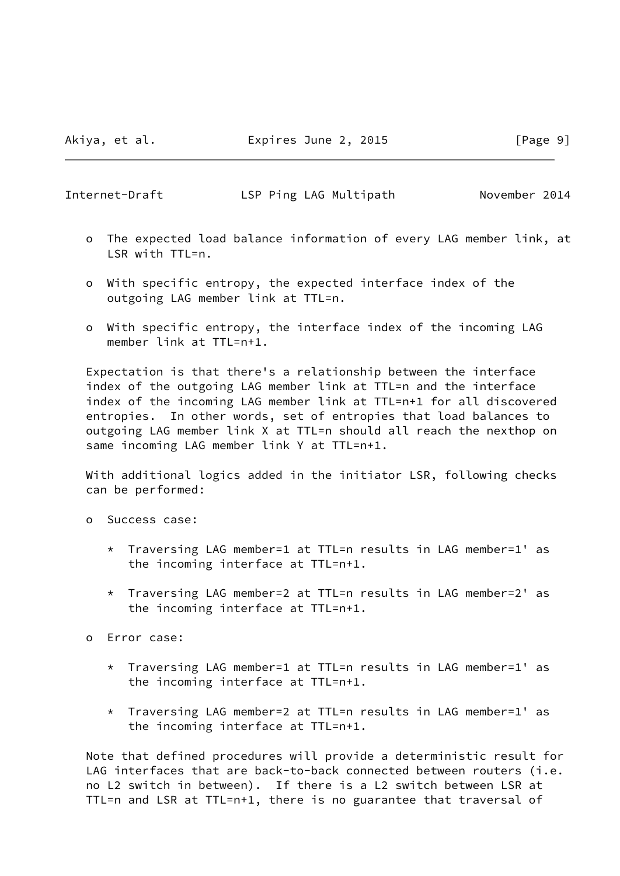Internet-Draft LSP Ping LAG Multipath November 2014

- o The expected load balance information of every LAG member link, at LSR with TTL=n.
- o With specific entropy, the expected interface index of the outgoing LAG member link at TTL=n.
- o With specific entropy, the interface index of the incoming LAG member link at TTL=n+1.

 Expectation is that there's a relationship between the interface index of the outgoing LAG member link at TTL=n and the interface index of the incoming LAG member link at TTL=n+1 for all discovered entropies. In other words, set of entropies that load balances to outgoing LAG member link X at TTL=n should all reach the nexthop on same incoming LAG member link Y at TTL=n+1.

 With additional logics added in the initiator LSR, following checks can be performed:

- o Success case:
	- \* Traversing LAG member=1 at TTL=n results in LAG member=1' as the incoming interface at TTL=n+1.
	- \* Traversing LAG member=2 at TTL=n results in LAG member=2' as the incoming interface at TTL=n+1.
- o Error case:
	- \* Traversing LAG member=1 at TTL=n results in LAG member=1' as the incoming interface at TTL=n+1.
	- \* Traversing LAG member=2 at TTL=n results in LAG member=1' as the incoming interface at TTL=n+1.

 Note that defined procedures will provide a deterministic result for LAG interfaces that are back-to-back connected between routers (i.e. no L2 switch in between). If there is a L2 switch between LSR at TTL=n and LSR at TTL=n+1, there is no guarantee that traversal of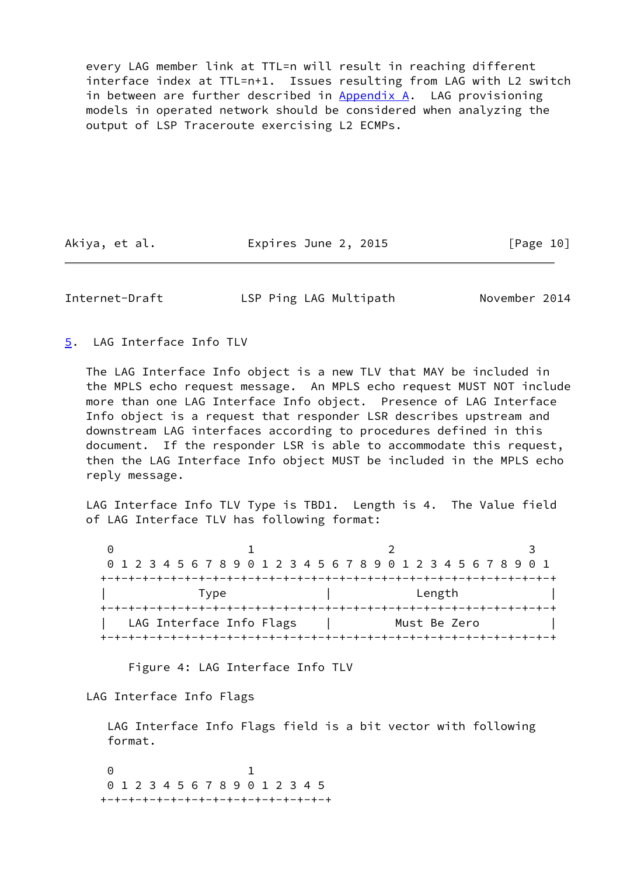every LAG member link at TTL=n will result in reaching different interface index at TTL=n+1. Issues resulting from LAG with L2 switch in between are further described in  $Appendix A$ . LAG provisioning models in operated network should be considered when analyzing the output of LSP Traceroute exercising L2 ECMPs.

Akiya, et al. **Expires June 2, 2015** [Page 10]

<span id="page-11-1"></span>Internet-Draft LSP Ping LAG Multipath November 2014

<span id="page-11-0"></span>[5](#page-11-0). LAG Interface Info TLV

 The LAG Interface Info object is a new TLV that MAY be included in the MPLS echo request message. An MPLS echo request MUST NOT include more than one LAG Interface Info object. Presence of LAG Interface Info object is a request that responder LSR describes upstream and downstream LAG interfaces according to procedures defined in this document. If the responder LSR is able to accommodate this request, then the LAG Interface Info object MUST be included in the MPLS echo reply message.

 LAG Interface Info TLV Type is TBD1. Length is 4. The Value field of LAG Interface TLV has following format:

| 0 1 2 3 4 5 6 7 8 9 0 1 2 3 4 5 6 7 8 9 0 1 2 3 4 5 6 7 8 9 0 1 |              |  |
|-----------------------------------------------------------------|--------------|--|
|                                                                 |              |  |
| Type                                                            | Length       |  |
|                                                                 |              |  |
| LAG Interface Info Flags                                        | Must Be Zero |  |
|                                                                 |              |  |

Figure 4: LAG Interface Info TLV

LAG Interface Info Flags

 LAG Interface Info Flags field is a bit vector with following format.

 0 1 0 1 2 3 4 5 6 7 8 9 0 1 2 3 4 5 +-+-+-+-+-+-+-+-+-+-+-+-+-+-+-+-+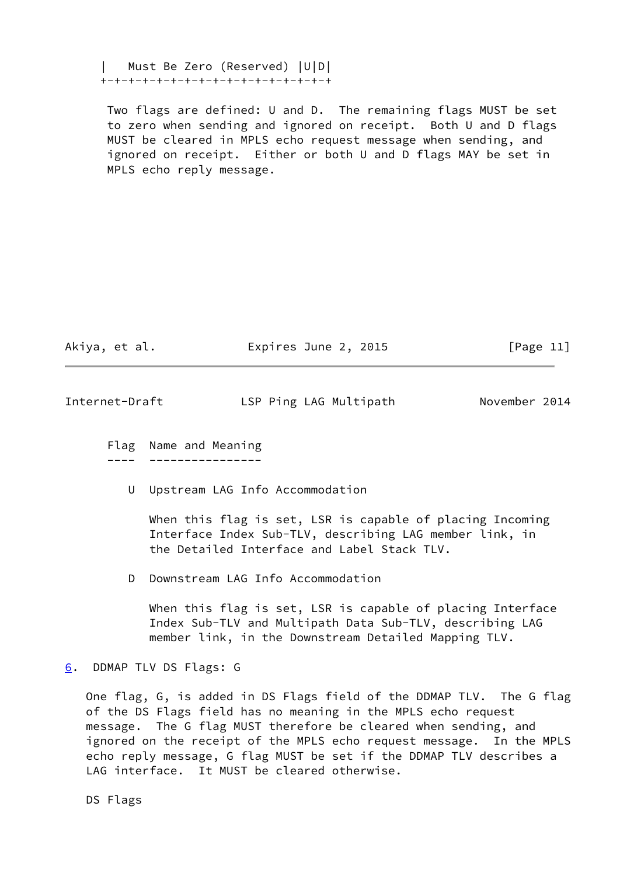| Must Be Zero (Reserved) |U|D| +-+-+-+-+-+-+-+-+-+-+-+-+-+-+-+-+

 Two flags are defined: U and D. The remaining flags MUST be set to zero when sending and ignored on receipt. Both U and D flags MUST be cleared in MPLS echo request message when sending, and ignored on receipt. Either or both U and D flags MAY be set in MPLS echo reply message.

Akiya, et al. Expires June 2, 2015 [Page 11]

<span id="page-12-1"></span>Internet-Draft LSP Ping LAG Multipath November 2014

 Flag Name and Meaning ---- ----------------

U Upstream LAG Info Accommodation

 When this flag is set, LSR is capable of placing Incoming Interface Index Sub-TLV, describing LAG member link, in the Detailed Interface and Label Stack TLV.

D Downstream LAG Info Accommodation

 When this flag is set, LSR is capable of placing Interface Index Sub-TLV and Multipath Data Sub-TLV, describing LAG member link, in the Downstream Detailed Mapping TLV.

<span id="page-12-0"></span>[6](#page-12-0). DDMAP TLV DS Flags: G

 One flag, G, is added in DS Flags field of the DDMAP TLV. The G flag of the DS Flags field has no meaning in the MPLS echo request message. The G flag MUST therefore be cleared when sending, and ignored on the receipt of the MPLS echo request message. In the MPLS echo reply message, G flag MUST be set if the DDMAP TLV describes a LAG interface. It MUST be cleared otherwise.

DS Flags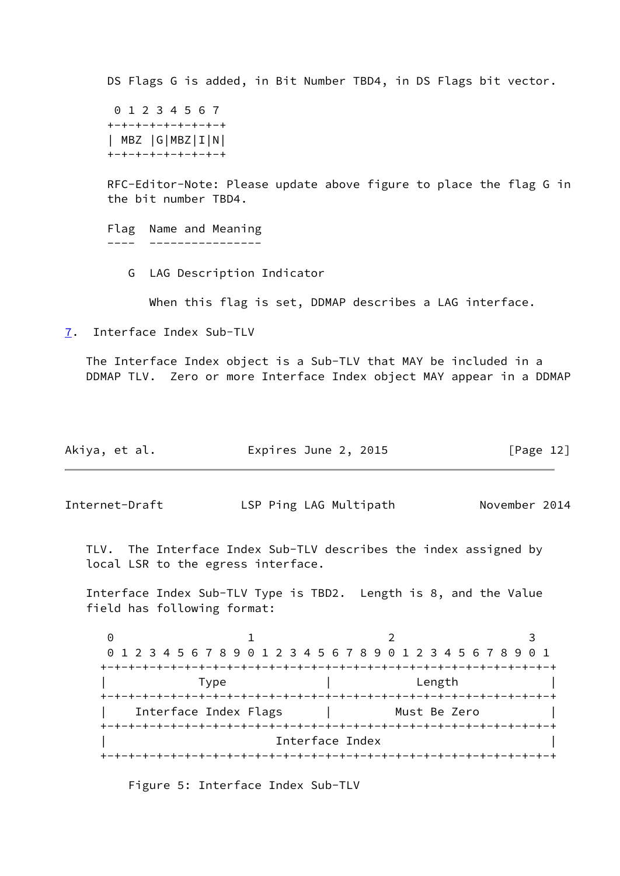DS Flags G is added, in Bit Number TBD4, in DS Flags bit vector. 0 1 2 3 4 5 6 7 +-+-+-+-+-+-+-+-+ | MBZ |G|MBZ|I|N| +-+-+-+-+-+-+-+-+ RFC-Editor-Note: Please update above figure to place the flag G in the bit number TBD4. Flag Name and Meaning ---- ---------------- G LAG Description Indicator When this flag is set, DDMAP describes a LAG interface. [7](#page-13-0). Interface Index Sub-TLV The Interface Index object is a Sub-TLV that MAY be included in a DDMAP TLV. Zero or more Interface Index object MAY appear in a DDMAP Akiya, et al. Expires June 2, 2015 [Page 12] Internet-Draft LSP Ping LAG Multipath November 2014

<span id="page-13-1"></span><span id="page-13-0"></span> TLV. The Interface Index Sub-TLV describes the index assigned by local LSR to the egress interface.

 Interface Index Sub-TLV Type is TBD2. Length is 8, and the Value field has following format:

0 1 2 3 0 1 2 3 4 5 6 7 8 9 0 1 2 3 4 5 6 7 8 9 0 1 2 3 4 5 6 7 8 9 0 1 +-+-+-+-+-+-+-+-+-+-+-+-+-+-+-+-+-+-+-+-+-+-+-+-+-+-+-+-+-+-+-+-+ Type  $|$  Length +-+-+-+-+-+-+-+-+-+-+-+-+-+-+-+-+-+-+-+-+-+-+-+-+-+-+-+-+-+-+-+-+ Interface Index Flags | Must Be Zero +-+-+-+-+-+-+-+-+-+-+-+-+-+-+-+-+-+-+-+-+-+-+-+-+-+-+-+-+-+-+-+-+ | Interface Index | +-+-+-+-+-+-+-+-+-+-+-+-+-+-+-+-+-+-+-+-+-+-+-+-+-+-+-+-+-+-+-+-+

Figure 5: Interface Index Sub-TLV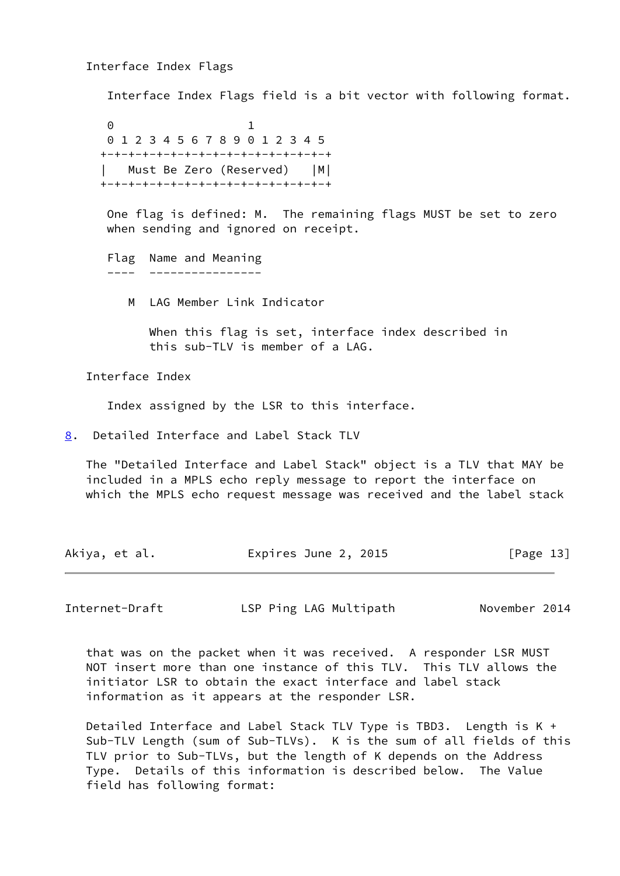Interface Index Flags

Interface Index Flags field is a bit vector with following format.

 0 1 0 1 2 3 4 5 6 7 8 9 0 1 2 3 4 5 +-+-+-+-+-+-+-+-+-+-+-+-+-+-+-+-+ | Must Be Zero (Reserved) |M| +-+-+-+-+-+-+-+-+-+-+-+-+-+-+-+-+

> One flag is defined: M. The remaining flags MUST be set to zero when sending and ignored on receipt.

```
 Flag Name and Meaning
---- ----------------
```
M LAG Member Link Indicator

 When this flag is set, interface index described in this sub-TLV is member of a LAG.

Interface Index

Index assigned by the LSR to this interface.

<span id="page-14-0"></span>[8](#page-14-0). Detailed Interface and Label Stack TLV

 The "Detailed Interface and Label Stack" object is a TLV that MAY be included in a MPLS echo reply message to report the interface on which the MPLS echo request message was received and the label stack

| Akiya, et al. | Expires June 2, 2015 | [Page 13] |
|---------------|----------------------|-----------|
|---------------|----------------------|-----------|

Internet-Draft LSP Ping LAG Multipath November 2014

 that was on the packet when it was received. A responder LSR MUST NOT insert more than one instance of this TLV. This TLV allows the initiator LSR to obtain the exact interface and label stack information as it appears at the responder LSR.

 Detailed Interface and Label Stack TLV Type is TBD3. Length is K + Sub-TLV Length (sum of Sub-TLVs). K is the sum of all fields of this TLV prior to Sub-TLVs, but the length of K depends on the Address Type. Details of this information is described below. The Value field has following format: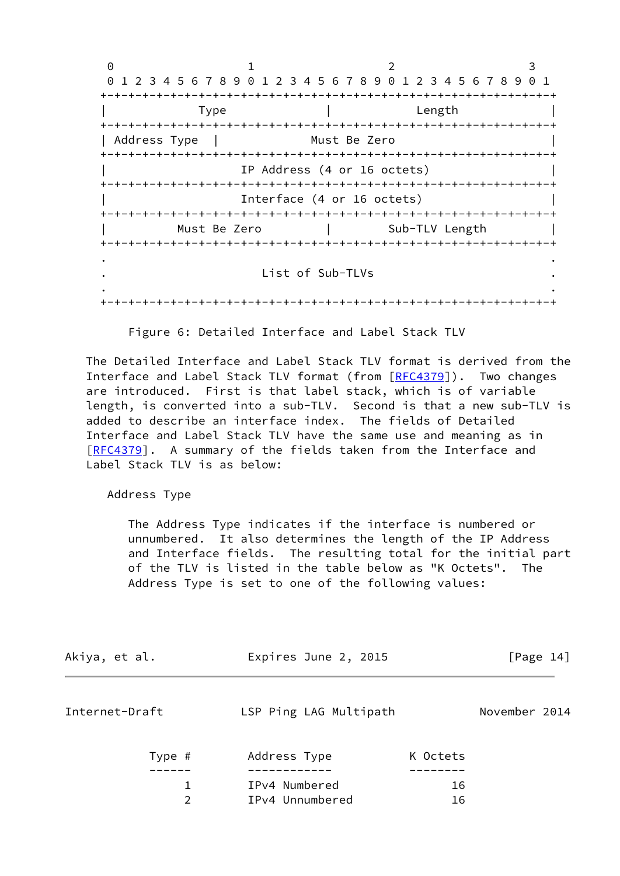0 1 2 3 0 1 2 3 4 5 6 7 8 9 0 1 2 3 4 5 6 7 8 9 0 1 2 3 4 5 6 7 8 9 0 1 +-+-+-+-+-+-+-+-+-+-+-+-+-+-+-+-+-+-+-+-+-+-+-+-+-+-+-+-+-+-+-+-+ | Type | Length | Length | +-+-+-+-+-+-+-+-+-+-+-+-+-+-+-+-+-+-+-+-+-+-+-+-+-+-+-+-+-+-+-+-+ | Address Type | Must Be Zero +-+-+-+-+-+-+-+-+-+-+-+-+-+-+-+-+-+-+-+-+-+-+-+-+-+-+-+-+-+-+-+-+ IP Address (4 or 16 octets) +-+-+-+-+-+-+-+-+-+-+-+-+-+-+-+-+-+-+-+-+-+-+-+-+-+-+-+-+-+-+-+-+ Interface (4 or 16 octets) +-+-+-+-+-+-+-+-+-+-+-+-+-+-+-+-+-+-+-+-+-+-+-+-+-+-+-+-+-+-+-+-+ Must Be Zero | Sub-TLV Length +-+-+-+-+-+-+-+-+-+-+-+-+-+-+-+-+-+-+-+-+-+-+-+-+-+-+-+-+-+-+-+-+ . . . List of Sub-TLVs . . . +-+-+-+-+-+-+-+-+-+-+-+-+-+-+-+-+-+-+-+-+-+-+-+-+-+-+-+-+-+-+-+-+

Figure 6: Detailed Interface and Label Stack TLV

 The Detailed Interface and Label Stack TLV format is derived from the Interface and Label Stack TLV format (from  $[RECA379]$ ). Two changes are introduced. First is that label stack, which is of variable length, is converted into a sub-TLV. Second is that a new sub-TLV is added to describe an interface index. The fields of Detailed Interface and Label Stack TLV have the same use and meaning as in [\[RFC4379](https://datatracker.ietf.org/doc/pdf/rfc4379)]. A summary of the fields taken from the Interface and Label Stack TLV is as below:

Address Type

 The Address Type indicates if the interface is numbered or unnumbered. It also determines the length of the IP Address and Interface fields. The resulting total for the initial part of the TLV is listed in the table below as "K Octets". The Address Type is set to one of the following values:

<span id="page-15-0"></span>

| Akiya, et al.  | Expires June 2, 2015   |          |               | [Page 14] |
|----------------|------------------------|----------|---------------|-----------|
| Internet-Draft | LSP Ping LAG Multipath |          | November 2014 |           |
| Type #         | Address Type           | K Octets |               |           |
| 1              | IPv4 Numbered          | 16       |               |           |
| $\overline{2}$ | IPv4 Unnumbered        | 16       |               |           |
|                |                        |          |               |           |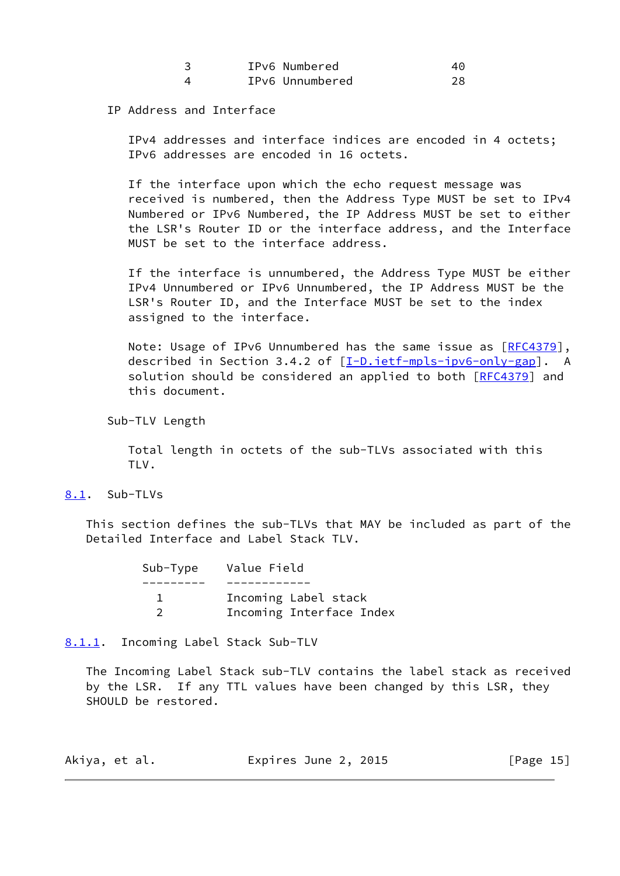|  | IPv6 Numbered   |  |
|--|-----------------|--|
|  | IPv6 Unnumbered |  |

#### IP Address and Interface

 IPv4 addresses and interface indices are encoded in 4 octets; IPv6 addresses are encoded in 16 octets.

 If the interface upon which the echo request message was received is numbered, then the Address Type MUST be set to IPv4 Numbered or IPv6 Numbered, the IP Address MUST be set to either the LSR's Router ID or the interface address, and the Interface MUST be set to the interface address.

 If the interface is unnumbered, the Address Type MUST be either IPv4 Unnumbered or IPv6 Unnumbered, the IP Address MUST be the LSR's Router ID, and the Interface MUST be set to the index assigned to the interface.

 Note: Usage of IPv6 Unnumbered has the same issue as [[RFC4379\]](https://datatracker.ietf.org/doc/pdf/rfc4379), described in Section 3.4.2 of [\[I-D.ietf-mpls-ipv6-only-gap](#page-22-5)]. A solution should be considered an applied to both [\[RFC4379](https://datatracker.ietf.org/doc/pdf/rfc4379)] and this document.

Sub-TLV Length

 Total length in octets of the sub-TLVs associated with this TLV.

## <span id="page-16-0"></span>[8.1](#page-16-0). Sub-TLVs

 This section defines the sub-TLVs that MAY be included as part of the Detailed Interface and Label Stack TLV.

| Sub-Type Value Field     |
|--------------------------|
|                          |
| Incoming Label stack     |
| Incoming Interface Index |

<span id="page-16-1"></span>[8.1.1](#page-16-1). Incoming Label Stack Sub-TLV

 The Incoming Label Stack sub-TLV contains the label stack as received by the LSR. If any TTL values have been changed by this LSR, they SHOULD be restored.

| Akiya, et al. | Expires June 2, 2015 | [Page $15$ ] |
|---------------|----------------------|--------------|
|---------------|----------------------|--------------|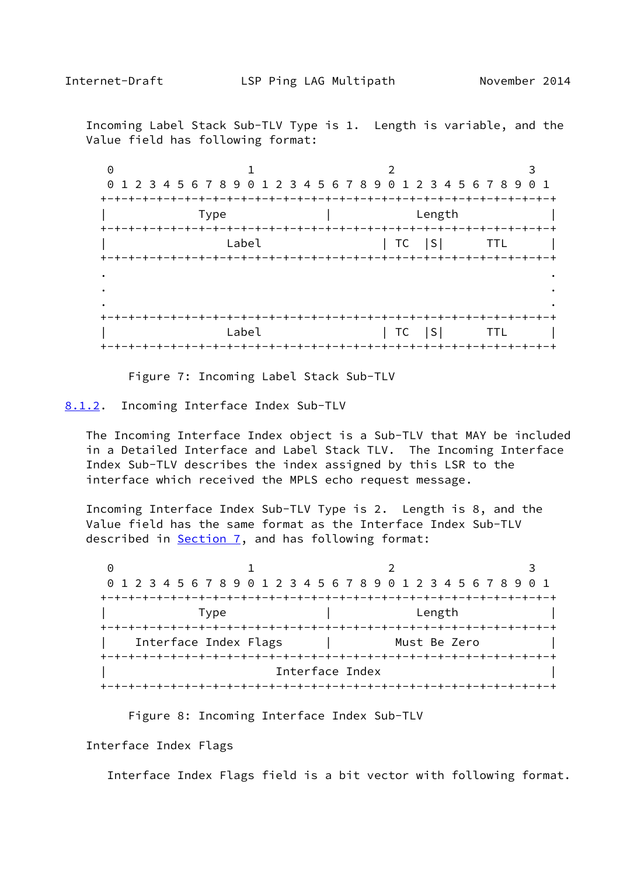<span id="page-17-1"></span> Incoming Label Stack Sub-TLV Type is 1. Length is variable, and the Value field has following format:

| 0 |                                                                 |                                      |  |
|---|-----------------------------------------------------------------|--------------------------------------|--|
|   | 0 1 2 3 4 5 6 7 8 9 0 1 2 3 4 5 6 7 8 9 0 1 2 3 4 5 6 7 8 9 0 1 |                                      |  |
|   |                                                                 |                                      |  |
|   | <b>Type</b>                                                     | Length                               |  |
|   |                                                                 |                                      |  |
|   | Label                                                           | $ TC S $ TTL                         |  |
|   |                                                                 |                                      |  |
|   |                                                                 |                                      |  |
|   |                                                                 |                                      |  |
|   |                                                                 |                                      |  |
|   | Label                                                           |                                      |  |
|   |                                                                 | TC                                   |  |
|   |                                                                 | +-+-+-+-+-+-+-+-+-+-+-+-+-+-+-+-+-+- |  |

Figure 7: Incoming Label Stack Sub-TLV

<span id="page-17-0"></span>[8.1.2](#page-17-0). Incoming Interface Index Sub-TLV

 The Incoming Interface Index object is a Sub-TLV that MAY be included in a Detailed Interface and Label Stack TLV. The Incoming Interface Index Sub-TLV describes the index assigned by this LSR to the interface which received the MPLS echo request message.

 Incoming Interface Index Sub-TLV Type is 2. Length is 8, and the Value field has the same format as the Interface Index Sub-TLV described in [Section 7](#page-13-0), and has following format:

0 1 2 3 0 1 2 3 4 5 6 7 8 9 0 1 2 3 4 5 6 7 8 9 0 1 2 3 4 5 6 7 8 9 0 1 +-+-+-+-+-+-+-+-+-+-+-+-+-+-+-+-+-+-+-+-+-+-+-+-+-+-+-+-+-+-+-+-+ | Type | Length | +-+-+-+-+-+-+-+-+-+-+-+-+-+-+-+-+-+-+-+-+-+-+-+-+-+-+-+-+-+-+-+-+ Interface Index Flags | Must Be Zero +-+-+-+-+-+-+-+-+-+-+-+-+-+-+-+-+-+-+-+-+-+-+-+-+-+-+-+-+-+-+-+-+ Interface Index +-+-+-+-+-+-+-+-+-+-+-+-+-+-+-+-+-+-+-+-+-+-+-+-+-+-+-+-+-+-+-+-+

Figure 8: Incoming Interface Index Sub-TLV

Interface Index Flags

Interface Index Flags field is a bit vector with following format.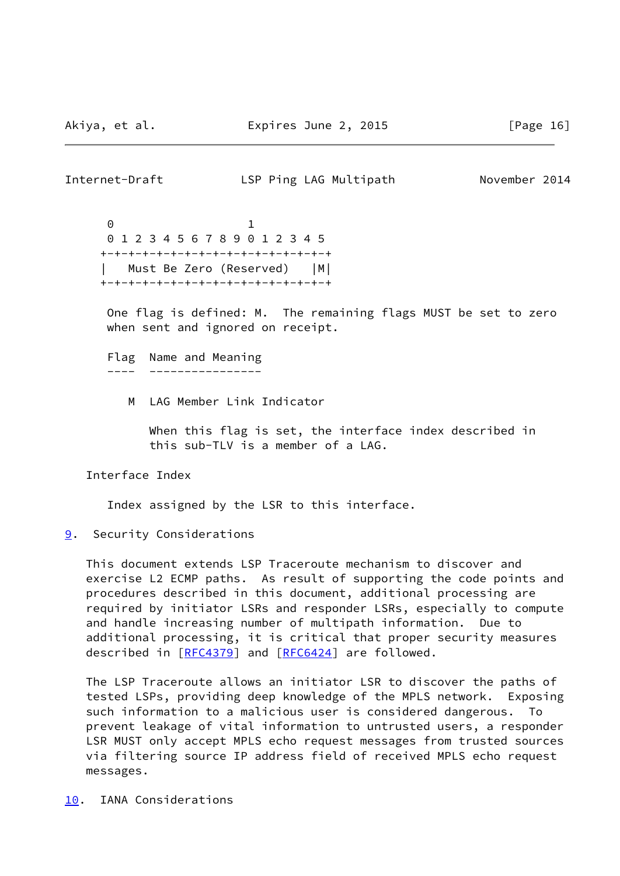<span id="page-18-1"></span>Internet-Draft LSP Ping LAG Multipath November 2014 0 1

 0 1 2 3 4 5 6 7 8 9 0 1 2 3 4 5 +-+-+-+-+-+-+-+-+-+-+-+-+-+-+-+-+ Must Be Zero (Reserved) | M| +-+-+-+-+-+-+-+-+-+-+-+-+-+-+-+-+

 One flag is defined: M. The remaining flags MUST be set to zero when sent and ignored on receipt.

 Flag Name and Meaning ---- ----------------

M LAG Member Link Indicator

 When this flag is set, the interface index described in this sub-TLV is a member of a LAG.

Interface Index

Index assigned by the LSR to this interface.

#### <span id="page-18-0"></span>[9](#page-18-0). Security Considerations

 This document extends LSP Traceroute mechanism to discover and exercise L2 ECMP paths. As result of supporting the code points and procedures described in this document, additional processing are required by initiator LSRs and responder LSRs, especially to compute and handle increasing number of multipath information. Due to additional processing, it is critical that proper security measures described in [\[RFC4379](https://datatracker.ietf.org/doc/pdf/rfc4379)] and [[RFC6424\]](https://datatracker.ietf.org/doc/pdf/rfc6424) are followed.

 The LSP Traceroute allows an initiator LSR to discover the paths of tested LSPs, providing deep knowledge of the MPLS network. Exposing such information to a malicious user is considered dangerous. To prevent leakage of vital information to untrusted users, a responder LSR MUST only accept MPLS echo request messages from trusted sources via filtering source IP address field of received MPLS echo request messages.

<span id="page-18-2"></span>[10.](#page-18-2) IANA Considerations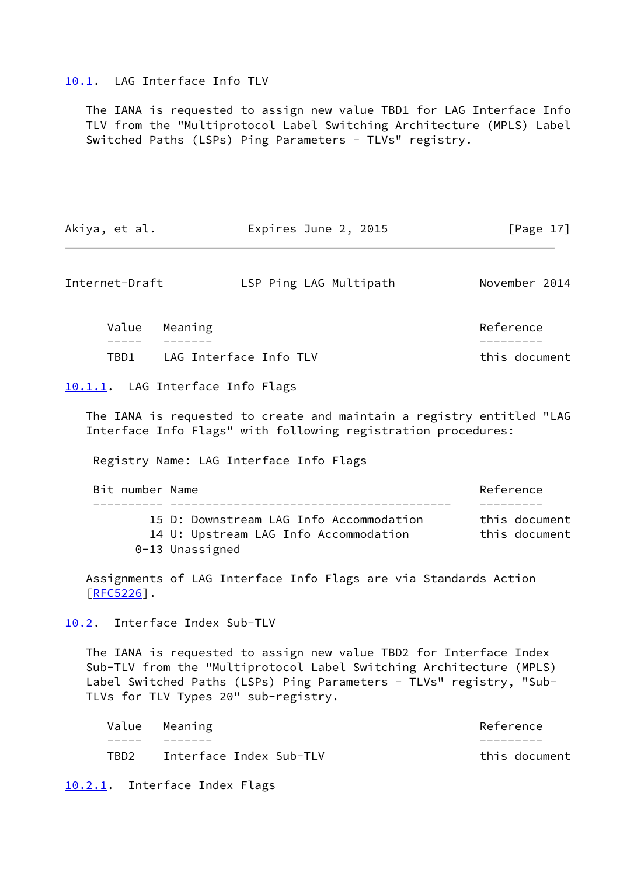#### <span id="page-19-0"></span>[10.1](#page-19-0). LAG Interface Info TLV

 The IANA is requested to assign new value TBD1 for LAG Interface Info TLV from the "Multiprotocol Label Switching Architecture (MPLS) Label Switched Paths (LSPs) Ping Parameters - TLVs" registry.

| Akiya, et al. | Expires June 2, 2015 | [Page $17$ ] |
|---------------|----------------------|--------------|
|---------------|----------------------|--------------|

<span id="page-19-2"></span>Internet-Draft LSP Ping LAG Multipath November 2014

|      | Value Meaning          | Reference     |
|------|------------------------|---------------|
|      |                        |               |
| TBD1 | LAG Interface Info TLV | this document |

<span id="page-19-1"></span>[10.1.1](#page-19-1). LAG Interface Info Flags

 The IANA is requested to create and maintain a registry entitled "LAG Interface Info Flags" with following registration procedures:

Registry Name: LAG Interface Info Flags

| Bit number Name |                                                                                                     | Reference                      |
|-----------------|-----------------------------------------------------------------------------------------------------|--------------------------------|
|                 | 15 D: Downstream LAG Info Accommodation<br>14 U: Upstream LAG Info Accommodation<br>0-13 Unassigned | this document<br>this document |

 Assignments of LAG Interface Info Flags are via Standards Action [\[RFC5226](https://datatracker.ietf.org/doc/pdf/rfc5226)].

<span id="page-19-3"></span>[10.2](#page-19-3). Interface Index Sub-TLV

 The IANA is requested to assign new value TBD2 for Interface Index Sub-TLV from the "Multiprotocol Label Switching Architecture (MPLS) Label Switched Paths (LSPs) Ping Parameters - TLVs" registry, "Sub-TLVs for TLV Types 20" sub-registry.

| Value | Meaning                 | Reference     |
|-------|-------------------------|---------------|
|       |                         |               |
| TBD2  | Interface Index Sub-TLV | this document |

<span id="page-19-4"></span>[10.2.1](#page-19-4). Interface Index Flags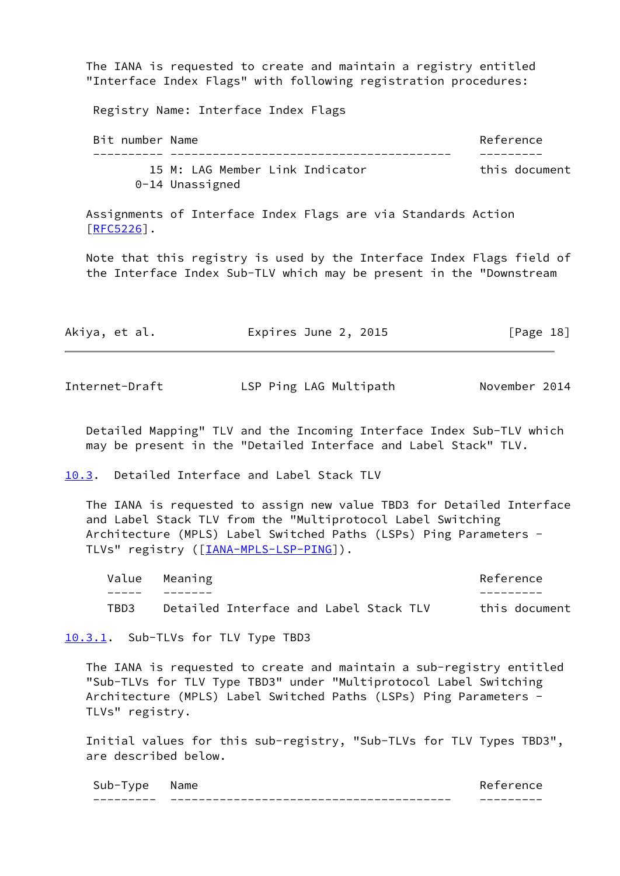The IANA is requested to create and maintain a registry entitled "Interface Index Flags" with following registration procedures:

Registry Name: Interface Index Flags

Bit number Name **Reference**  ---------- ---------------------------------------- --------- 15 M: LAG Member Link Indicator This document 0-14 Unassigned

 Assignments of Interface Index Flags are via Standards Action  $[REC5226]$ .

 Note that this registry is used by the Interface Index Flags field of the Interface Index Sub-TLV which may be present in the "Downstream

| Akiya, et al. | Expires June 2, 2015 | [Page 18] |
|---------------|----------------------|-----------|
|               |                      |           |

<span id="page-20-1"></span>Internet-Draft LSP Ping LAG Multipath November 2014

 Detailed Mapping" TLV and the Incoming Interface Index Sub-TLV which may be present in the "Detailed Interface and Label Stack" TLV.

<span id="page-20-0"></span>[10.3](#page-20-0). Detailed Interface and Label Stack TLV

 The IANA is requested to assign new value TBD3 for Detailed Interface and Label Stack TLV from the "Multiprotocol Label Switching Architecture (MPLS) Label Switched Paths (LSPs) Ping Parameters - TLVs" registry ([\[IANA-MPLS-LSP-PING\]](#page-22-6)).

Value Meaning **Reference**  ----- ------- --------- TBD3 Detailed Interface and Label Stack TLV this document

<span id="page-20-2"></span>[10.3.1](#page-20-2). Sub-TLVs for TLV Type TBD3

 The IANA is requested to create and maintain a sub-registry entitled "Sub-TLVs for TLV Type TBD3" under "Multiprotocol Label Switching Architecture (MPLS) Label Switched Paths (LSPs) Ping Parameters - TLVs" registry.

 Initial values for this sub-registry, "Sub-TLVs for TLV Types TBD3", are described below.

| --- | $\sim$<br>----- | __ |
|-----|-----------------|----|
| -   |                 |    |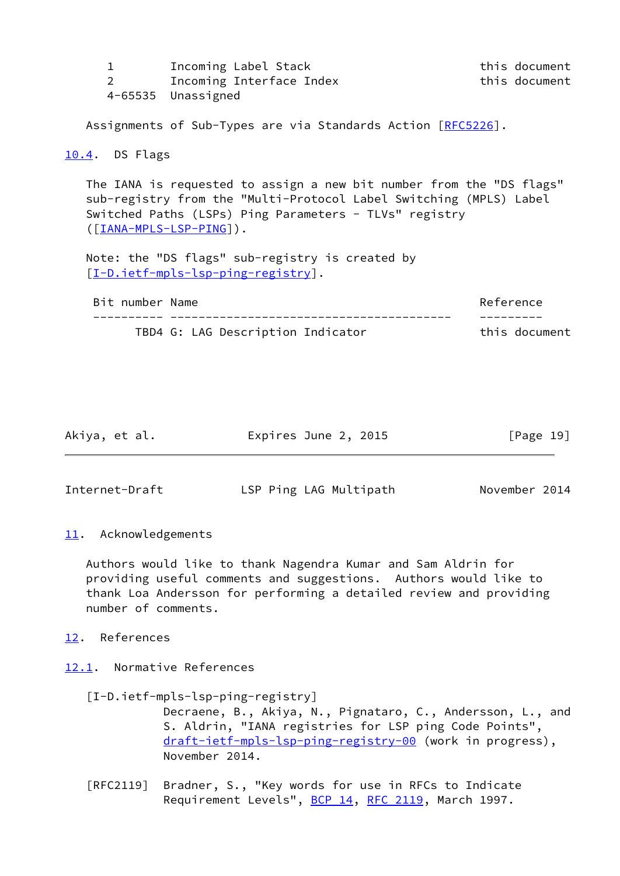<span id="page-21-0"></span>

| $\mathbf 1$<br>2       | Incoming Label Stack<br>Incoming Interface Index<br>4-65535 Unassigned                                                                                                                                                                                                                                                      | this document<br>this document |
|------------------------|-----------------------------------------------------------------------------------------------------------------------------------------------------------------------------------------------------------------------------------------------------------------------------------------------------------------------------|--------------------------------|
|                        | Assignments of Sub-Types are via Standards Action [RFC5226].                                                                                                                                                                                                                                                                |                                |
| <u>10.4</u> . DS Flags |                                                                                                                                                                                                                                                                                                                             |                                |
|                        | The IANA is requested to assign a new bit number from the "DS flags"<br>sub-registry from the "Multi-Protocol Label Switching (MPLS) Label<br>Switched Paths (LSPs) Ping Parameters - TLVs" registry<br>$([IANA-MPLS-LSP-PING])$ .<br>Note: the "DS flags" sub-registry is created by<br>[I-D.ietf-mpls-lsp-ping-registry]. |                                |
| Bit number Name        |                                                                                                                                                                                                                                                                                                                             | Reference                      |
|                        | TBD4 G: LAG Description Indicator                                                                                                                                                                                                                                                                                           | this document                  |
|                        |                                                                                                                                                                                                                                                                                                                             |                                |

| Akiya, et al.<br>Expires June 2, 2015 | [Page 19] |
|---------------------------------------|-----------|
|---------------------------------------|-----------|

<span id="page-21-2"></span>Internet-Draft LSP Ping LAG Multipath November 2014

<span id="page-21-1"></span>[11.](#page-21-1) Acknowledgements

 Authors would like to thank Nagendra Kumar and Sam Aldrin for providing useful comments and suggestions. Authors would like to thank Loa Andersson for performing a detailed review and providing number of comments.

<span id="page-21-3"></span>[12.](#page-21-3) References

<span id="page-21-4"></span>[12.1](#page-21-4). Normative References

- <span id="page-21-5"></span> [I-D.ietf-mpls-lsp-ping-registry] Decraene, B., Akiya, N., Pignataro, C., Andersson, L., and S. Aldrin, "IANA registries for LSP ping Code Points", [draft-ietf-mpls-lsp-ping-registry-00](https://datatracker.ietf.org/doc/pdf/draft-ietf-mpls-lsp-ping-registry-00) (work in progress), November 2014.
- [RFC2119] Bradner, S., "Key words for use in RFCs to Indicate Requirement Levels", [BCP 14](https://datatracker.ietf.org/doc/pdf/bcp14), [RFC 2119](https://datatracker.ietf.org/doc/pdf/rfc2119), March 1997.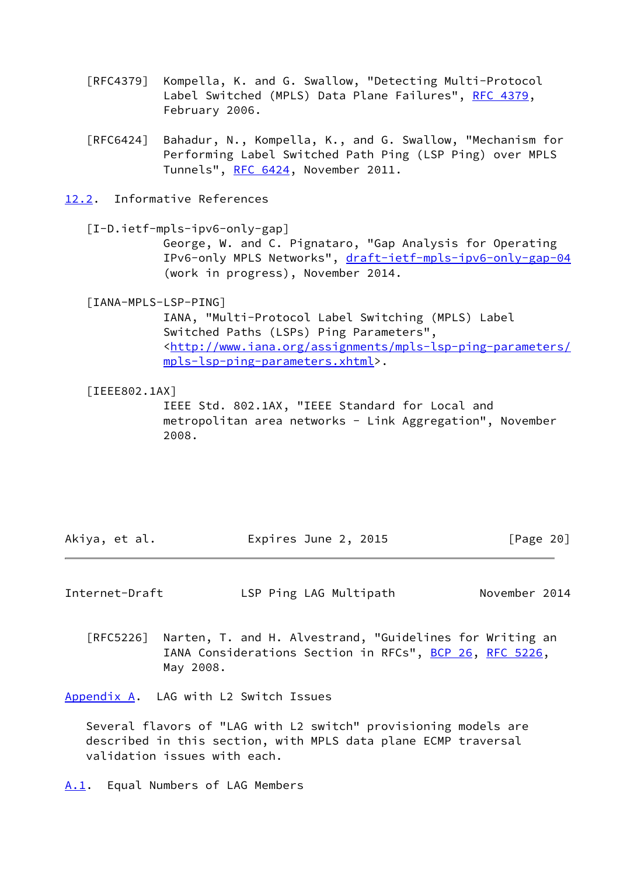- [RFC4379] Kompella, K. and G. Swallow, "Detecting Multi-Protocol Label Switched (MPLS) Data Plane Failures", [RFC 4379,](https://datatracker.ietf.org/doc/pdf/rfc4379) February 2006.
- [RFC6424] Bahadur, N., Kompella, K., and G. Swallow, "Mechanism for Performing Label Switched Path Ping (LSP Ping) over MPLS Tunnels", [RFC 6424](https://datatracker.ietf.org/doc/pdf/rfc6424), November 2011.
- <span id="page-22-0"></span>[12.2](#page-22-0). Informative References

<span id="page-22-5"></span>[I-D.ietf-mpls-ipv6-only-gap]

 George, W. and C. Pignataro, "Gap Analysis for Operating IPv6-only MPLS Networks", [draft-ietf-mpls-ipv6-only-gap-04](https://datatracker.ietf.org/doc/pdf/draft-ietf-mpls-ipv6-only-gap-04) (work in progress), November 2014.

<span id="page-22-6"></span>[IANA-MPLS-LSP-PING]

 IANA, "Multi-Protocol Label Switching (MPLS) Label Switched Paths (LSPs) Ping Parameters", <[http://www.iana.org/assignments/mpls-lsp-ping-parameters/](http://www.iana.org/assignments/mpls-lsp-ping-parameters/mpls-lsp-ping-parameters.xhtml) [mpls-lsp-ping-parameters.xhtml](http://www.iana.org/assignments/mpls-lsp-ping-parameters/mpls-lsp-ping-parameters.xhtml)>.

#### <span id="page-22-4"></span>[IEEE802.1AX]

 IEEE Std. 802.1AX, "IEEE Standard for Local and metropolitan area networks - Link Aggregation", November 2008.

| Akiya, et al. | Expires June 2, 2015 | [Page 20] |
|---------------|----------------------|-----------|
|---------------|----------------------|-----------|

<span id="page-22-2"></span>Internet-Draft LSP Ping LAG Multipath November 2014

 [RFC5226] Narten, T. and H. Alvestrand, "Guidelines for Writing an IANA Considerations Section in RFCs", [BCP 26](https://datatracker.ietf.org/doc/pdf/bcp26), [RFC 5226](https://datatracker.ietf.org/doc/pdf/rfc5226), May 2008.

<span id="page-22-1"></span>[Appendix A.](#page-22-1) LAG with L2 Switch Issues

 Several flavors of "LAG with L2 switch" provisioning models are described in this section, with MPLS data plane ECMP traversal validation issues with each.

<span id="page-22-3"></span>[A.1](#page-22-3). Equal Numbers of LAG Members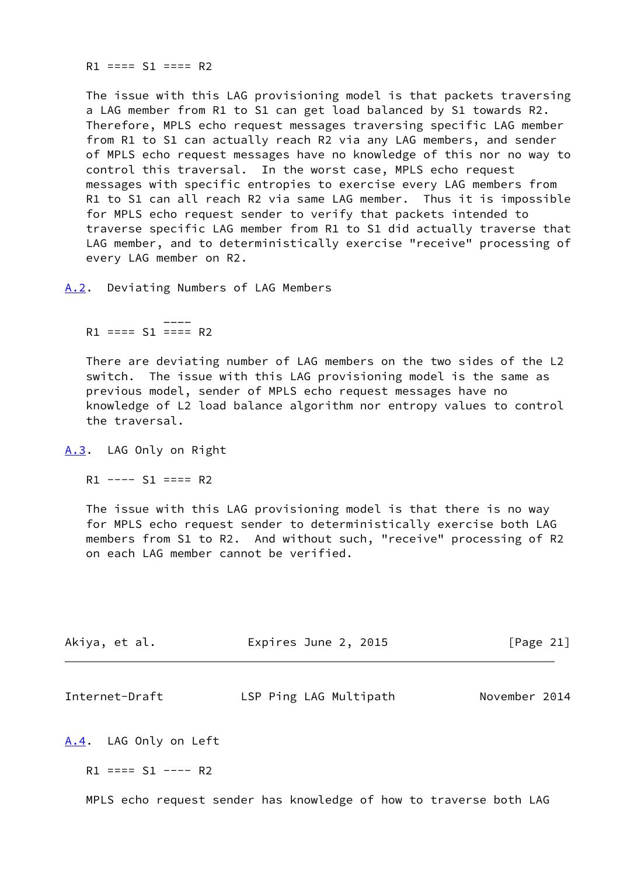$R1$  ====  $S1$  ====  $R2$ 

 The issue with this LAG provisioning model is that packets traversing a LAG member from R1 to S1 can get load balanced by S1 towards R2. Therefore, MPLS echo request messages traversing specific LAG member from R1 to S1 can actually reach R2 via any LAG members, and sender of MPLS echo request messages have no knowledge of this nor no way to control this traversal. In the worst case, MPLS echo request messages with specific entropies to exercise every LAG members from R1 to S1 can all reach R2 via same LAG member. Thus it is impossible for MPLS echo request sender to verify that packets intended to traverse specific LAG member from R1 to S1 did actually traverse that LAG member, and to deterministically exercise "receive" processing of every LAG member on R2.

<span id="page-23-0"></span>[A.2](#page-23-0). Deviating Numbers of LAG Members

 \_\_\_\_  $R1 == = S1 == = R2$ 

> There are deviating number of LAG members on the two sides of the L2 switch. The issue with this LAG provisioning model is the same as previous model, sender of MPLS echo request messages have no knowledge of L2 load balance algorithm nor entropy values to control the traversal.

<span id="page-23-1"></span>[A.3](#page-23-1). LAG Only on Right

 $R1$  ----  $S1$  ====  $R2$ 

 The issue with this LAG provisioning model is that there is no way for MPLS echo request sender to deterministically exercise both LAG members from S1 to R2. And without such, "receive" processing of R2 on each LAG member cannot be verified.

| Akiya, et al. | Expires June 2, 2015 | [Page 21] |
|---------------|----------------------|-----------|
|               |                      |           |

<span id="page-23-3"></span>

| Internet-Draft | LSP Ping LAG Multipath | November 2014 |
|----------------|------------------------|---------------|
|----------------|------------------------|---------------|

<span id="page-23-2"></span>[A.4](#page-23-2). LAG Only on Left

 $R1 == = S1 --- R2$ 

MPLS echo request sender has knowledge of how to traverse both LAG